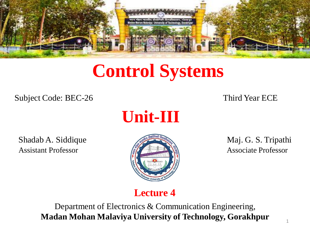

# **Control Systems**

Subject Code: BEC-26 Third Year ECE



Shadab A. Siddique Maj. G. S. Tripathi Assistant Professor **Associate Professor** Associate Professor



### **Lecture 4**

Department of Electronics & Communication Engineering, **Madan Mohan Malaviya University of Technology, Gorakhpur**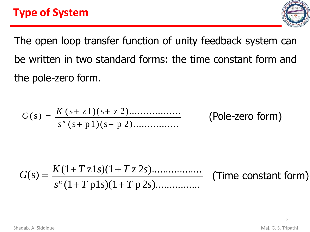

The open loop transfer function of unity feedback system can be written in two standard forms: the time constant form and the pole-zero form.

$$
G(s) = \frac{K(s+z1)(s+z2) \dots (Pole-zero form)}{s^{n}(s+p1)(s+p2) \dots (Pole-zero form)}
$$

$$
G(s) = \frac{K(1+T\,z1s)(1+T\,z\,2s) \dots(2s)}{s^{n}(1+T\,p1s)(1+T\,p\,2s) \dots(2s)} \quad \text{(Time constant form)}
$$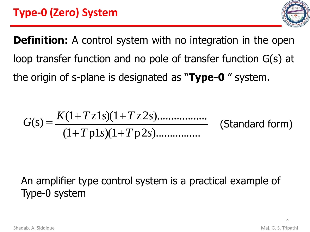

**Definition:** A control system with no integration in the open loop transfer function and no pole of transfer function G(s) at the origin of s-plane is designated as "**Type-0** " system.

$$
G(s) = \frac{K(1+Tz1s)(1+Tz2s) \dots (1+Tp1s)(1+Tp2s) \dots (Standard form)}{(1+Tp1s)(1+Tp2s) \dots (Standardform)}
$$

## An amplifier type control system is a practical example of Type-0 system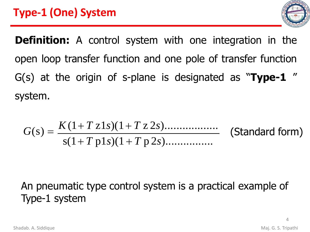

**Definition:** A control system with one integration in the open loop transfer function and one pole of transfer function G(s) at the origin of s-plane is designated as "**Type-1** " system.

$$
G(s) = \frac{K(1+T\,z1s)(1+T\,z\,2s) \dots (Standard form)}{s(1+T\,p1s)(1+T\,p\,2s) \dots (Standard form)}
$$

## An pneumatic type control system is a practical example of Type-1 system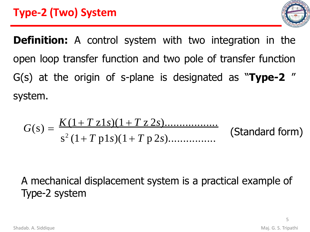

**Definition:** A control system with two integration in the open loop transfer function and two pole of transfer function G(s) at the origin of s-plane is designated as "**Type-2** " system.

$$
G(s) = \frac{K(1+T\,z1s)(1+T\,z\,2s) \dots (Standard form)}{s^2(1+T\,p1s)(1+T\,p\,2s) \dots (Standard form)}
$$

## A mechanical displacement system is a practical example of Type-2 system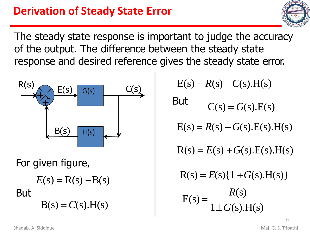The steady state response is important to judge the accuracy of the output. The difference between the steady state response and desired reference gives the steady state error.



For given figure,

$$
E(s) = R(s) - B(s)
$$
  
But  

$$
B(s) = C(s) \cdot H(s)
$$

 $E(s) = R(s) - C(s)H(s)$ 

But  $C(s) = G(s) \cdot E(s)$ 

 $E(s) = R(s) - G(s)E(s)H(s)$ 

 $R(s) = E(s) + G(s)E(s)H(s)$ 

 $R(s) = E(s) \{ 1 + G(s) \cdot H(s) \}$ 

$$
E(s) = \frac{R(s)}{1 \pm G(s) \cdot H(s)}
$$

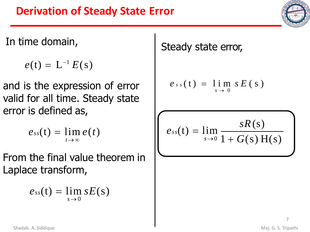## **Derivation of Steady State Error**

In time domain,

 $e(t) = L^{-1} E(s)$ 

and is the expression of error valid for all time. Steady state error is defined as,

$$
e_{ss}(t)=\lim_{t\to\infty}e(t)
$$

From the final value theorem in Laplace transform,

$$
e_{ss}(t)=\lim_{s\to 0} sE(s)
$$

Steady state error,

$$
e_{ss}(t) = \lim_{s \to 0} s E(s)
$$

$$
e_{ss}(t) = \lim_{s \to 0} \frac{sR(s)}{1 + G(s)H(s)}
$$

7

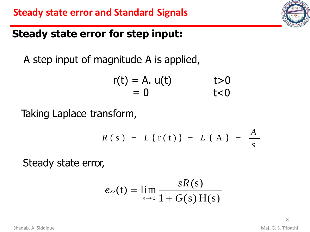## **Steady state error for step input:**

A step input of magnitude A is applied,

$$
r(t) = A. u(t) \qquad t>0
$$
  
= 0 \qquad t<0

Taking Laplace transform,

$$
R(s) = L\{r(t)\} = L\{A\} = \frac{A}{s}
$$

Steady state error,

$$
e_{ss}(t) = \lim_{s \to 0} \frac{sR(s)}{1 + G(s)H(s)}
$$

8

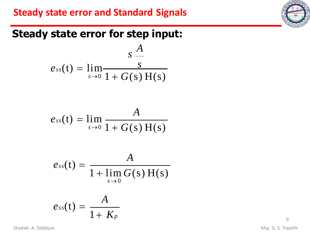### **Steady state error and Standard Signals**



## **Steady state error for step input:**

$$
e_{ss}(t) = \lim_{s \to 0} \frac{s}{1 + G(s) H(s)}
$$

$$
e_{ss}(t) = \lim_{s \to 0} \frac{A}{1 + G(s) H(s)}
$$

$$
e_{ss}(t) = \frac{A}{1 + \lim_{s \to 0} G(s) H(s)}
$$

$$
e_{ss}(t)=\frac{A}{1+K_p}
$$

Shadab. A. Siddique **Maj. G. S. Tripathi**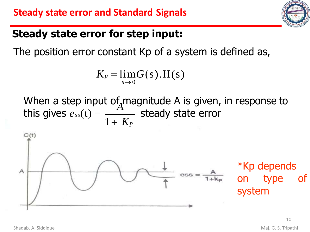

## **Steady state error for step input:**

The position error constant Kp of a system is defined as,

$$
K_p = \lim_{s\to 0} G(s).H(s)
$$

When a step input of magnitude A is given, in response to steady state error *A* this gives  $e_{ss}(t) =$ 1+ *K<sup>p</sup>*



\*Kp depends on type of system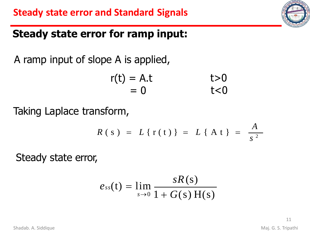## **Steady state error for ramp input:**

A ramp input of slope A is applied,

$$
r(t) = A.t \t\t\t t>0= 0 \t\t\t t<0
$$

Taking Laplace transform,

$$
R(s) = L\{r(t)\} = L\{At\} = \frac{A}{s^2}
$$

Steady state error,

$$
e_{ss}(t) = \lim_{s \to 0} \frac{sR(s)}{1 + G(s)H(s)}
$$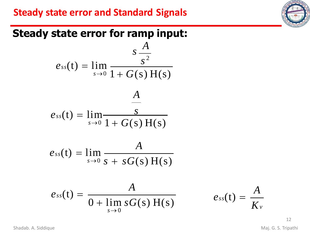### **Steady state error and Standard Signals**

## **Steady state error for ramp input:**

$$
e_{ss}(t) = \lim_{s \to 0} \frac{s \frac{A}{s^2}}{1 + G(s) H(s)}
$$
  
\n
$$
e_{ss}(t) = \lim_{s \to 0} \frac{A}{1 + G(s) H(s)}
$$
  
\n
$$
e_{ss}(t) = \lim_{s \to 0} \frac{A}{s + sG(s) H(s)}
$$
  
\n
$$
e_{ss}(t) = \frac{A}{0 + \lim_{s \to 0} sG(s) H(s)}
$$
  $e_{ss}(t) =$ 

*K<sup>v</sup>*

*A*

Shadab. A. Siddique **Maj. G. S. Tripathi**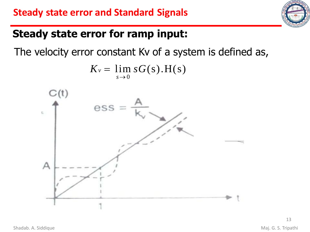## **Steady state error for ramp input:**

The velocity error constant Kv of a system is defined as,

$$
K_v = \lim_{s\to 0} sG(s).H(s)
$$

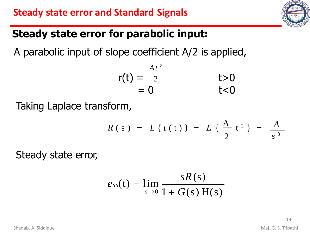## **Steady state error for parabolic input:**

A parabolic input of slope coefficient A/2 is applied,

$$
r(t) = \frac{At^2}{2} \qquad t > 0= 0 \qquad t < 0
$$

Taking Laplace transform,

$$
R(s) = L\{r(t)\} = L\{\frac{A}{2}t^2\} = \frac{A}{s^3}
$$

Steady state error,

$$
e_{ss}(t) = \lim_{s \to 0} \frac{sR(s)}{1 + G(s)H(s)}
$$

14

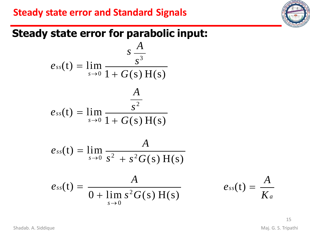### **Steady state error and Standard Signals**

## **Steady state error for parabolic input:**

$$
e_{ss}(t) = \lim_{s \to 0} \frac{s \frac{A}{s^{3}}}{1 + G(s) H(s)}
$$
  
\n
$$
e_{ss}(t) = \lim_{s \to 0} \frac{A}{1 + G(s) H(s)}
$$
  
\n
$$
e_{ss}(t) = \lim_{s \to 0} \frac{A}{s^{2} + s^{2} G(s) H(s)}
$$
  
\n
$$
e_{ss}(t) = \frac{A}{0 + \lim_{s \to 0} s^{2} G(s) H(s)}
$$
  
\n
$$
e_{ss}(t) = \frac{A}{K_{a}}
$$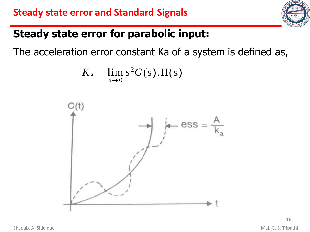

## **Steady state error for parabolic input:**

The acceleration error constant Ka of a system is defined as,

$$
K_a = \lim_{s\to 0} s^2 G(s).H(s)
$$